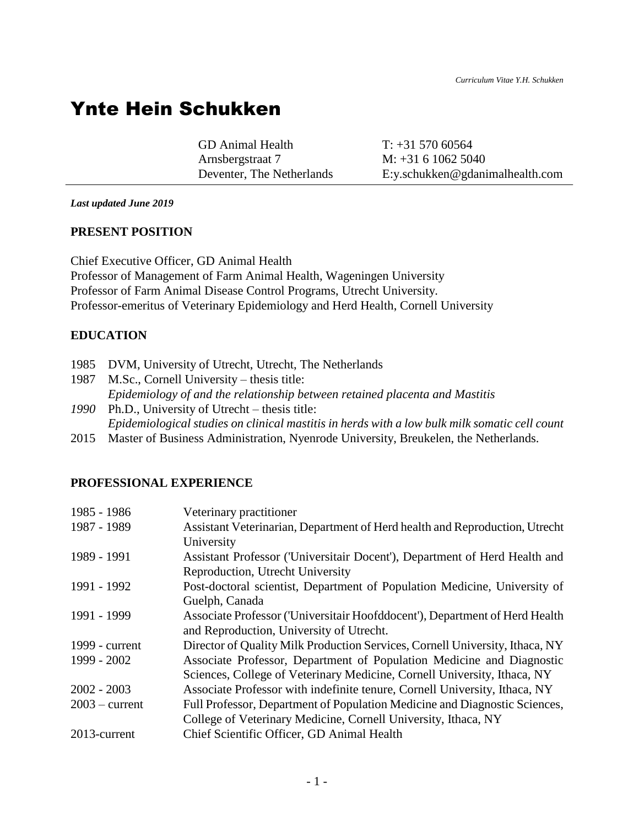# Ynte Hein Schukken

GD Animal Health Arnsbergstraat 7 Deventer, The Netherlands [T: +31](Tel:+31) 570 60564 M: +31 6 1062 5040 E:y.schukken@gdanimalhealth.com

*Last updated June 2019*

#### **PRESENT POSITION**

Chief Executive Officer, GD Animal Health Professor of Management of Farm Animal Health, Wageningen University Professor of Farm Animal Disease Control Programs, Utrecht University. Professor-emeritus of Veterinary Epidemiology and Herd Health, Cornell University

#### **EDUCATION**

- 1985 DVM, University of Utrecht, Utrecht, The Netherlands
- 1987 M.Sc., Cornell University thesis title: *Epidemiology of and the relationship between retained placenta and Mastitis 1990* Ph.D., University of Utrecht – thesis title:
- *Epidemiological studies on clinical mastitis in herds with a low bulk milk somatic cell count*
- 2015 Master of Business Administration, Nyenrode University, Breukelen, the Netherlands.

#### **PROFESSIONAL EXPERIENCE**

| Veterinary practitioner                                                      |
|------------------------------------------------------------------------------|
| Assistant Veterinarian, Department of Herd health and Reproduction, Utrecht  |
| University                                                                   |
| Assistant Professor ('Universitair Docent'), Department of Herd Health and   |
| Reproduction, Utrecht University                                             |
| Post-doctoral scientist, Department of Population Medicine, University of    |
| Guelph, Canada                                                               |
| Associate Professor ('Universitair Hoofddocent'), Department of Herd Health  |
| and Reproduction, University of Utrecht.                                     |
| Director of Quality Milk Production Services, Cornell University, Ithaca, NY |
| Associate Professor, Department of Population Medicine and Diagnostic        |
| Sciences, College of Veterinary Medicine, Cornell University, Ithaca, NY     |
| Associate Professor with indefinite tenure, Cornell University, Ithaca, NY   |
| Full Professor, Department of Population Medicine and Diagnostic Sciences,   |
| College of Veterinary Medicine, Cornell University, Ithaca, NY               |
| Chief Scientific Officer, GD Animal Health                                   |
|                                                                              |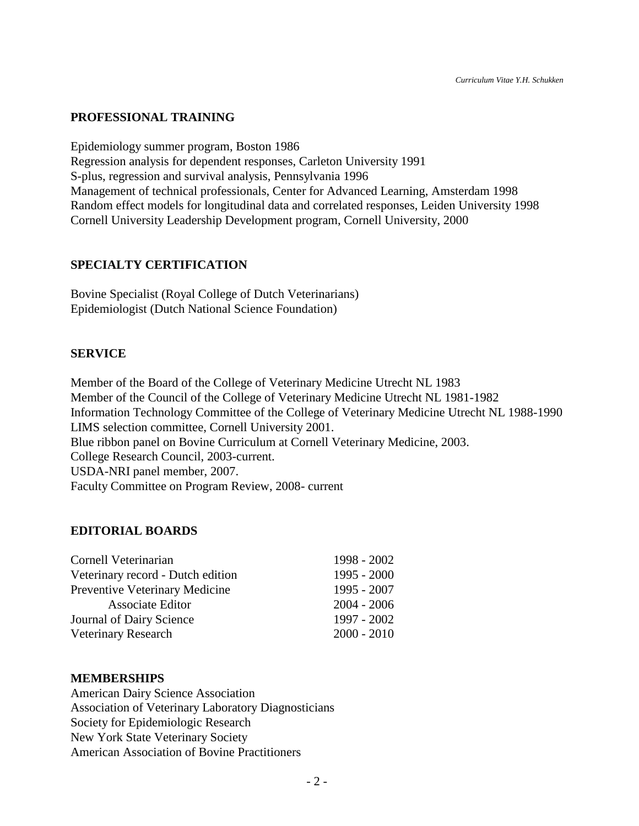#### **PROFESSIONAL TRAINING**

Epidemiology summer program, Boston 1986 Regression analysis for dependent responses, Carleton University 1991 S-plus, regression and survival analysis, Pennsylvania 1996 Management of technical professionals, Center for Advanced Learning, Amsterdam 1998 Random effect models for longitudinal data and correlated responses, Leiden University 1998 Cornell University Leadership Development program, Cornell University, 2000

#### **SPECIALTY CERTIFICATION**

Bovine Specialist (Royal College of Dutch Veterinarians) Epidemiologist (Dutch National Science Foundation)

#### **SERVICE**

Member of the Board of the College of Veterinary Medicine Utrecht NL 1983 Member of the Council of the College of Veterinary Medicine Utrecht NL 1981-1982 Information Technology Committee of the College of Veterinary Medicine Utrecht NL 1988-1990 LIMS selection committee, Cornell University 2001. Blue ribbon panel on Bovine Curriculum at Cornell Veterinary Medicine, 2003. College Research Council, 2003-current. USDA-NRI panel member, 2007. Faculty Committee on Program Review, 2008- current

#### **EDITORIAL BOARDS**

| Cornell Veterinarian              | 1998 - 2002   |
|-----------------------------------|---------------|
| Veterinary record - Dutch edition | 1995 - 2000   |
| Preventive Veterinary Medicine    | 1995 - 2007   |
| Associate Editor                  | $2004 - 2006$ |
| Journal of Dairy Science          | 1997 - 2002   |
| Veterinary Research               | $2000 - 2010$ |

#### **MEMBERSHIPS**

American Dairy Science Association Association of Veterinary Laboratory Diagnosticians Society for Epidemiologic Research New York State Veterinary Society American Association of Bovine Practitioners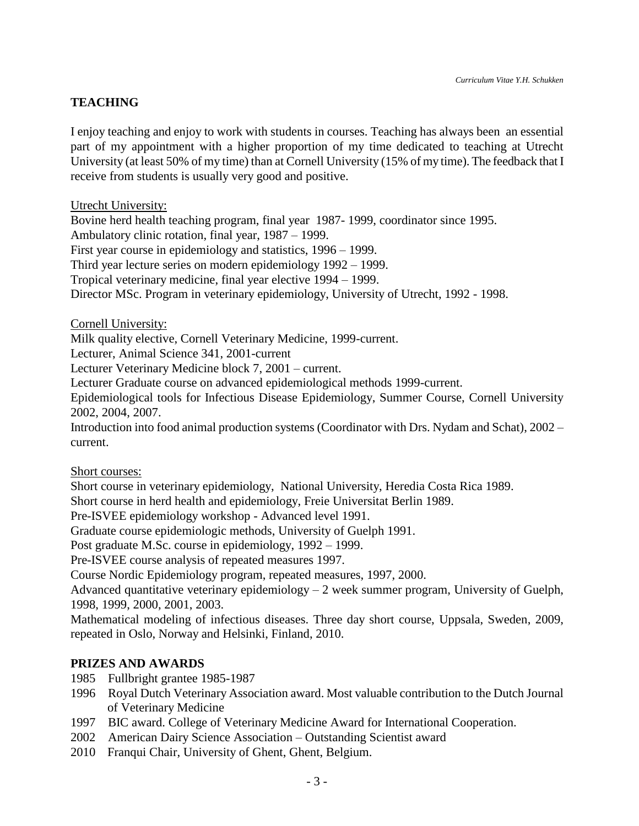#### **TEACHING**

I enjoy teaching and enjoy to work with students in courses. Teaching has always been an essential part of my appointment with a higher proportion of my time dedicated to teaching at Utrecht University (at least 50% of my time) than at Cornell University (15% of my time). The feedback that I receive from students is usually very good and positive.

Utrecht University:

Bovine herd health teaching program, final year 1987- 1999, coordinator since 1995.

Ambulatory clinic rotation, final year, 1987 – 1999.

First year course in epidemiology and statistics, 1996 – 1999.

Third year lecture series on modern epidemiology 1992 – 1999.

Tropical veterinary medicine, final year elective 1994 – 1999.

Director MSc. Program in veterinary epidemiology, University of Utrecht, 1992 - 1998.

Cornell University:

Milk quality elective, Cornell Veterinary Medicine, 1999-current.

Lecturer, Animal Science 341, 2001-current

Lecturer Veterinary Medicine block 7, 2001 – current.

Lecturer Graduate course on advanced epidemiological methods 1999-current.

Epidemiological tools for Infectious Disease Epidemiology, Summer Course, Cornell University 2002, 2004, 2007.

Introduction into food animal production systems (Coordinator with Drs. Nydam and Schat), 2002 – current.

Short courses:

Short course in veterinary epidemiology, National University, Heredia Costa Rica 1989.

Short course in herd health and epidemiology, Freie Universitat Berlin 1989.

Pre-ISVEE epidemiology workshop - Advanced level 1991.

Graduate course epidemiologic methods, University of Guelph 1991.

Post graduate M.Sc. course in epidemiology, 1992 – 1999.

Pre-ISVEE course analysis of repeated measures 1997.

Course Nordic Epidemiology program, repeated measures, 1997, 2000.

Advanced quantitative veterinary epidemiology – 2 week summer program, University of Guelph, 1998, 1999, 2000, 2001, 2003.

Mathematical modeling of infectious diseases. Three day short course, Uppsala, Sweden, 2009, repeated in Oslo, Norway and Helsinki, Finland, 2010.

#### **PRIZES AND AWARDS**

- 1985 Fullbright grantee 1985-1987
- 1996 Royal Dutch Veterinary Association award. Most valuable contribution to the Dutch Journal of Veterinary Medicine
- 1997 BIC award. College of Veterinary Medicine Award for International Cooperation.
- 2002 American Dairy Science Association Outstanding Scientist award
- 2010 Franqui Chair, University of Ghent, Ghent, Belgium.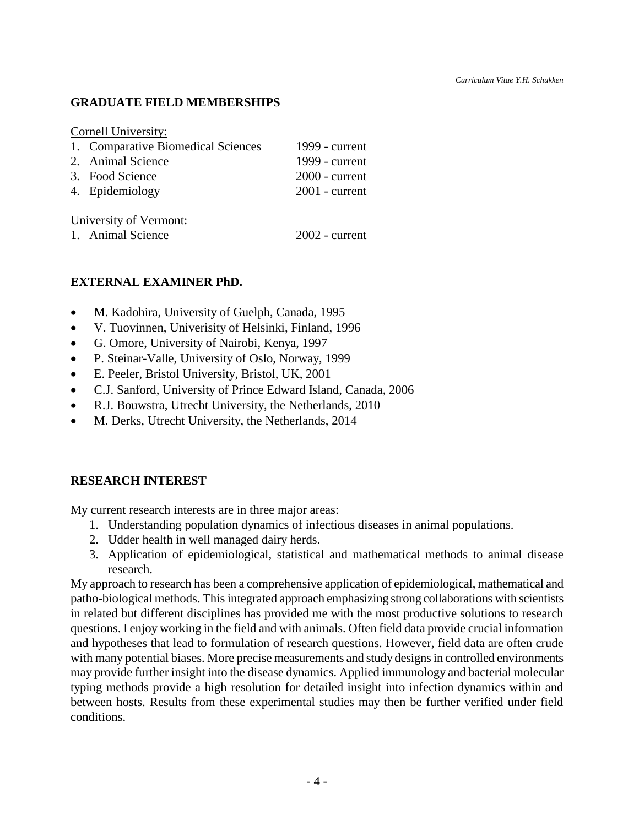#### **GRADUATE FIELD MEMBERSHIPS**

| <b>Cornell University:</b>         |                  |
|------------------------------------|------------------|
| 1. Comparative Biomedical Sciences | 1999 - current   |
| 2. Animal Science                  | 1999 - current   |
| 3. Food Science                    | $2000$ - current |
| 4. Epidemiology                    | $2001$ - current |
| University of Vermont:             |                  |

1. Animal Science 2002 - current

#### **EXTERNAL EXAMINER PhD.**

- M. Kadohira, University of Guelph, Canada, 1995
- V. Tuovinnen, Univerisity of Helsinki, Finland, 1996
- G. Omore, University of Nairobi, Kenya, 1997
- P. Steinar-Valle, University of Oslo, Norway, 1999
- E. Peeler, Bristol University, Bristol, UK, 2001
- C.J. Sanford, University of Prince Edward Island, Canada, 2006
- R.J. Bouwstra, Utrecht University, the Netherlands, 2010
- M. Derks, Utrecht University, the Netherlands, 2014

#### **RESEARCH INTEREST**

My current research interests are in three major areas:

- 1. Understanding population dynamics of infectious diseases in animal populations.
- 2. Udder health in well managed dairy herds.
- 3. Application of epidemiological, statistical and mathematical methods to animal disease research.

My approach to research has been a comprehensive application of epidemiological, mathematical and patho-biological methods. This integrated approach emphasizing strong collaborations with scientists in related but different disciplines has provided me with the most productive solutions to research questions. I enjoy working in the field and with animals. Often field data provide crucial information and hypotheses that lead to formulation of research questions. However, field data are often crude with many potential biases. More precise measurements and study designs in controlled environments may provide further insight into the disease dynamics. Applied immunology and bacterial molecular typing methods provide a high resolution for detailed insight into infection dynamics within and between hosts. Results from these experimental studies may then be further verified under field conditions.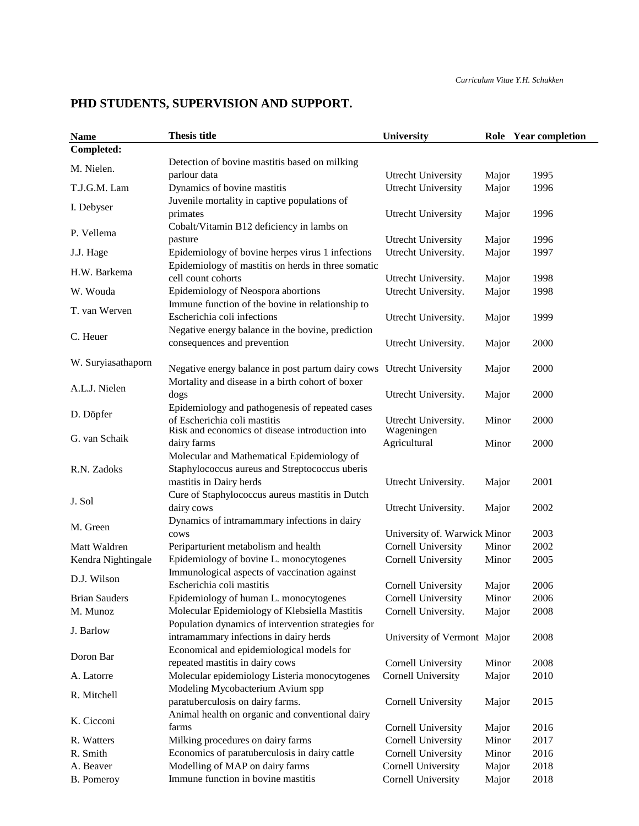| <b>Name</b>          | <b>Thesis title</b>                                                  | <b>University</b>            | Role Year completion |      |
|----------------------|----------------------------------------------------------------------|------------------------------|----------------------|------|
| Completed:           |                                                                      |                              |                      |      |
|                      | Detection of bovine mastitis based on milking                        |                              |                      |      |
| M. Nielen.           | parlour data                                                         | Utrecht University           | Major                | 1995 |
| T.J.G.M. Lam         | Dynamics of bovine mastitis                                          | <b>Utrecht University</b>    | Major                | 1996 |
|                      | Juvenile mortality in captive populations of                         |                              |                      |      |
| I. Debyser           | primates                                                             | Utrecht University           | Major                | 1996 |
|                      | Cobalt/Vitamin B12 deficiency in lambs on                            |                              |                      |      |
| P. Vellema           | pasture                                                              | Utrecht University           | Major                | 1996 |
| J.J. Hage            | Epidemiology of bovine herpes virus 1 infections                     | Utrecht University.          | Major                | 1997 |
|                      | Epidemiology of mastitis on herds in three somatic                   |                              |                      |      |
| H.W. Barkema         | cell count cohorts                                                   | Utrecht University.          | Major                | 1998 |
| W. Wouda             | Epidemiology of Neospora abortions                                   | Utrecht University.          | Major                | 1998 |
|                      | Immune function of the bovine in relationship to                     |                              |                      |      |
| T. van Werven        | Escherichia coli infections                                          | Utrecht University.          | Major                | 1999 |
|                      | Negative energy balance in the bovine, prediction                    |                              |                      |      |
| C. Heuer             | consequences and prevention                                          | Utrecht University.          | Major                | 2000 |
|                      |                                                                      |                              |                      |      |
| W. Suryiasathaporn   | Negative energy balance in post partum dairy cows Utrecht University |                              | Major                | 2000 |
|                      | Mortality and disease in a birth cohort of boxer                     |                              |                      |      |
| A.L.J. Nielen        | dogs                                                                 | Utrecht University.          | Major                | 2000 |
|                      | Epidemiology and pathogenesis of repeated cases                      |                              |                      |      |
| D. Döpfer            | of Escherichia coli mastitis                                         | Utrecht University.          | Minor                | 2000 |
| G. van Schaik        | Risk and economics of disease introduction into                      | Wageningen                   |                      |      |
|                      | dairy farms                                                          | Agricultural                 | Minor                | 2000 |
|                      | Molecular and Mathematical Epidemiology of                           |                              |                      |      |
| R.N. Zadoks          | Staphylococcus aureus and Streptococcus uberis                       |                              |                      |      |
|                      | mastitis in Dairy herds                                              | Utrecht University.          | Major                | 2001 |
| J. Sol               | Cure of Staphylococcus aureus mastitis in Dutch                      |                              |                      |      |
|                      | dairy cows                                                           | Utrecht University.          | Major                | 2002 |
| M. Green             | Dynamics of intramammary infections in dairy                         |                              |                      |      |
|                      | cows                                                                 | University of. Warwick Minor |                      | 2003 |
| Matt Waldren         | Periparturient metabolism and health                                 | <b>Cornell University</b>    | Minor                | 2002 |
| Kendra Nightingale   | Epidemiology of bovine L. monocytogenes                              | Cornell University           | Minor                | 2005 |
| D.J. Wilson          | Immunological aspects of vaccination against                         |                              |                      |      |
|                      | Escherichia coli mastitis                                            | <b>Cornell University</b>    | Major                | 2006 |
| <b>Brian Sauders</b> | Epidemiology of human L. monocytogenes                               | Cornell University           | Minor                | 2006 |
| M. Munoz             | Molecular Epidemiology of Klebsiella Mastitis                        | Cornell University.          | Major                | 2008 |
| J. Barlow            | Population dynamics of intervention strategies for                   |                              |                      |      |
|                      | intramammary infections in dairy herds                               | University of Vermont Major  |                      | 2008 |
| Doron Bar            | Economical and epidemiological models for                            |                              |                      |      |
|                      | repeated mastitis in dairy cows                                      | Cornell University           | Minor                | 2008 |
| A. Latorre           | Molecular epidemiology Listeria monocytogenes                        | <b>Cornell University</b>    | Major                | 2010 |
| R. Mitchell          | Modeling Mycobacterium Avium spp                                     |                              |                      |      |
|                      | paratuberculosis on dairy farms.                                     | Cornell University           | Major                | 2015 |
| K. Cicconi           | Animal health on organic and conventional dairy                      |                              |                      |      |
|                      | farms                                                                | Cornell University           | Major                | 2016 |
| R. Watters           | Milking procedures on dairy farms                                    | Cornell University           | Minor                | 2017 |
| R. Smith             | Economics of paratuberculosis in dairy cattle                        | Cornell University           | Minor                | 2016 |
| A. Beaver            | Modelling of MAP on dairy farms                                      | <b>Cornell University</b>    | Major                | 2018 |
| B. Pomeroy           | Immune function in bovine mastitis                                   | <b>Cornell University</b>    | Major                | 2018 |

## **PHD STUDENTS, SUPERVISION AND SUPPORT.**